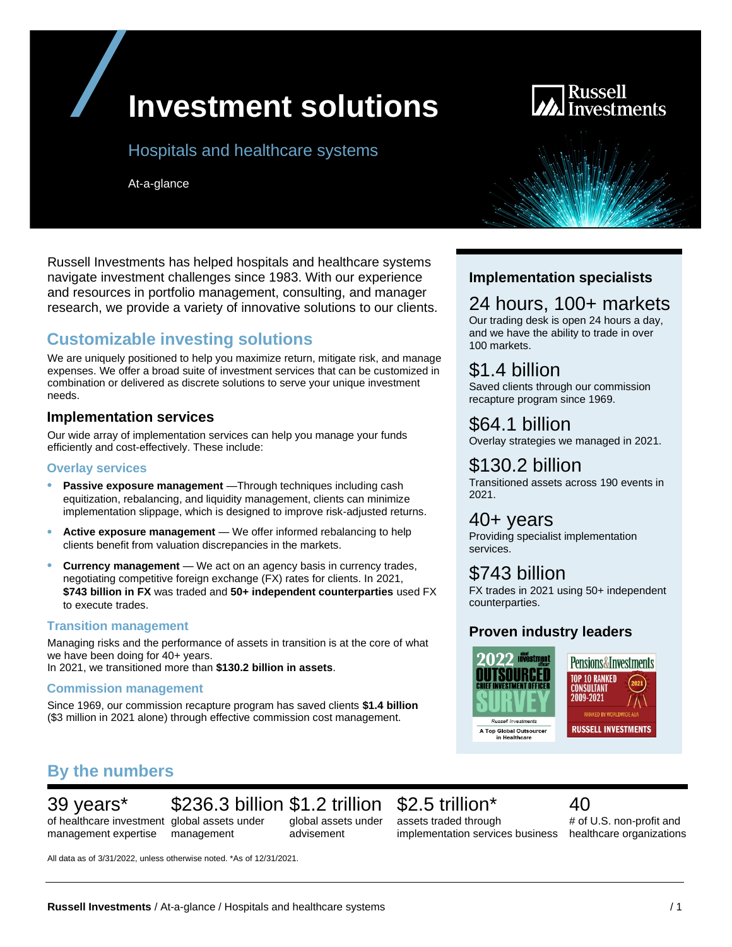# **Investment solutions**

### Hospitals and healthcare systems

At-a-glance



Russell Investments has helped hospitals and healthcare systems navigate investment challenges since 1983. With our experience and resources in portfolio management, consulting, and manager research, we provide a variety of innovative solutions to our clients.

# **Customizable investing solutions**

We are uniquely positioned to help you maximize return, mitigate risk, and manage expenses. We offer a broad suite of investment services that can be customized in combination or delivered as discrete solutions to serve your unique investment needs.

#### **Implementation services**

Our wide array of implementation services can help you manage your funds efficiently and cost-effectively. These include:

#### **Overlay services**

- Passive exposure management -Through techniques including cash equitization, rebalancing, and liquidity management, clients can minimize implementation slippage, which is designed to improve risk-adjusted returns.
- **Active exposure management** We offer informed rebalancing to help clients benefit from valuation discrepancies in the markets.
- **Currency management** We act on an agency basis in currency trades, negotiating competitive foreign exchange (FX) rates for clients. In 2021, **\$743 billion in FX** was traded and **50+ independent counterparties** used FX to execute trades.

#### **Transition management**

Managing risks and the performance of assets in transition is at the core of what we have been doing for 40+ years. In 2021, we transitioned more than **\$130.2 billion in assets**.

#### **Commission management**

Since 1969, our commission recapture program has saved clients **\$1.4 billion** (\$3 million in 2021 alone) through effective commission cost management.

# **By the numbers**

# 39 years\*

management expertise

of healthcare investment global assets under \$236.3 billion \$1.2 trillion

management

global assets under advisement

# \$2.5 trillion\*

#### assets traded through implementation services business

#### 40 # of U.S. non-profit and healthcare organizations

All data as of 3/31/2022, unless otherwise noted. \*As of 12/31/2021.

#### **Implementation specialists**

# 24 hours, 100+ markets

Our trading desk is open 24 hours a day, and we have the ability to trade in over 100 markets.

# \$1.4 billion

Saved clients through our commission recapture program since 1969.

### \$64.1 billion

Overlay strategies we managed in 2021.

# \$130.2 billion

Transitioned assets across 190 events in 2021.

### 40+ years

Providing specialist implementation services.

### \$743 billion

FX trades in 2021 using 50+ independent counterparties.

### **Proven industry leaders**